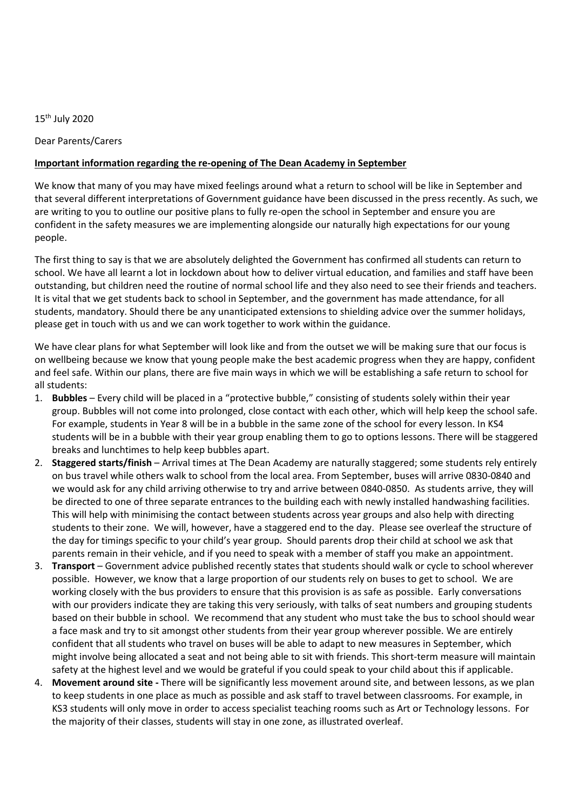## 15th July 2020

Dear Parents/Carers

## **Important information regarding the re-opening of The Dean Academy in September**

We know that many of you may have mixed feelings around what a return to school will be like in September and that several different interpretations of Government guidance have been discussed in the press recently. As such, we are writing to you to outline our positive plans to fully re-open the school in September and ensure you are confident in the safety measures we are implementing alongside our naturally high expectations for our young people.

The first thing to say is that we are absolutely delighted the Government has confirmed all students can return to school. We have all learnt a lot in lockdown about how to deliver virtual education, and families and staff have been outstanding, but children need the routine of normal school life and they also need to see their friends and teachers. It is vital that we get students back to school in September, and the government has made attendance, for all students, mandatory. Should there be any unanticipated extensions to shielding advice over the summer holidays, please get in touch with us and we can work together to work within the guidance.

We have clear plans for what September will look like and from the outset we will be making sure that our focus is on wellbeing because we know that young people make the best academic progress when they are happy, confident and feel safe. Within our plans, there are five main ways in which we will be establishing a safe return to school for all students:

- 1. **Bubbles** Every child will be placed in a "protective bubble," consisting of students solely within their year group. Bubbles will not come into prolonged, close contact with each other, which will help keep the school safe. For example, students in Year 8 will be in a bubble in the same zone of the school for every lesson. In KS4 students will be in a bubble with their year group enabling them to go to options lessons. There will be staggered breaks and lunchtimes to help keep bubbles apart.
- 2. **Staggered starts/finish** Arrival times at The Dean Academy are naturally staggered; some students rely entirely on bus travel while others walk to school from the local area. From September, buses will arrive 0830-0840 and we would ask for any child arriving otherwise to try and arrive between 0840-0850. As students arrive, they will be directed to one of three separate entrances to the building each with newly installed handwashing facilities. This will help with minimising the contact between students across year groups and also help with directing students to their zone. We will, however, have a staggered end to the day. Please see overleaf the structure of the day for timings specific to your child's year group. Should parents drop their child at school we ask that parents remain in their vehicle, and if you need to speak with a member of staff you make an appointment.
- 3. **Transport** Government advice published recently states that students should walk or cycle to school wherever possible. However, we know that a large proportion of our students rely on buses to get to school. We are working closely with the bus providers to ensure that this provision is as safe as possible. Early conversations with our providers indicate they are taking this very seriously, with talks of seat numbers and grouping students based on their bubble in school. We recommend that any student who must take the bus to school should wear a face mask and try to sit amongst other students from their year group wherever possible. We are entirely confident that all students who travel on buses will be able to adapt to new measures in September, which might involve being allocated a seat and not being able to sit with friends. This short-term measure will maintain safety at the highest level and we would be grateful if you could speak to your child about this if applicable.
- 4. **Movement around site -** There will be significantly less movement around site, and between lessons, as we plan to keep students in one place as much as possible and ask staff to travel between classrooms. For example, in KS3 students will only move in order to access specialist teaching rooms such as Art or Technology lessons. For the majority of their classes, students will stay in one zone, as illustrated overleaf.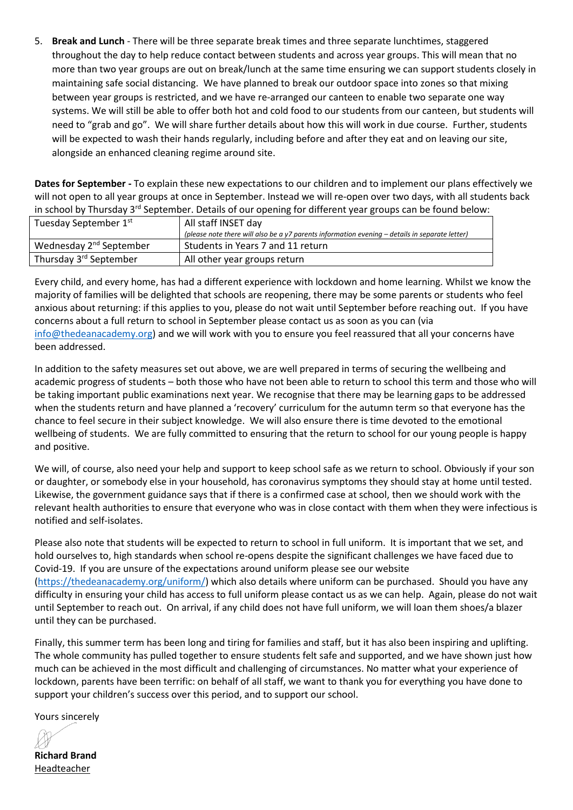5. **Break and Lunch** - There will be three separate break times and three separate lunchtimes, staggered throughout the day to help reduce contact between students and across year groups. This will mean that no more than two year groups are out on break/lunch at the same time ensuring we can support students closely in maintaining safe social distancing. We have planned to break our outdoor space into zones so that mixing between year groups is restricted, and we have re-arranged our canteen to enable two separate one way systems. We will still be able to offer both hot and cold food to our students from our canteen, but students will need to "grab and go". We will share further details about how this will work in due course. Further, students will be expected to wash their hands regularly, including before and after they eat and on leaving our site, alongside an enhanced cleaning regime around site.

**Dates for September -** To explain these new expectations to our children and to implement our plans effectively we will not open to all year groups at once in September. Instead we will re-open over two days, with all students back in school by Thursday 3<sup>rd</sup> September. Details of our opening for different year groups can be found below:

| Tuesday September 1st               | All staff INSET day                                                                                |
|-------------------------------------|----------------------------------------------------------------------------------------------------|
|                                     | (please note there will also be a $y7$ parents information evening $-$ details in separate letter) |
| Wednesday 2 <sup>nd</sup> September | Students in Years 7 and 11 return                                                                  |
| Thursday 3 <sup>rd</sup> September  | All other year groups return                                                                       |

Every child, and every home, has had a different experience with lockdown and home learning. Whilst we know the majority of families will be delighted that schools are reopening, there may be some parents or students who feel anxious about returning: if this applies to you, please do not wait until September before reaching out. If you have concerns about a full return to school in September please contact us as soon as you can (via [info@thedeanacademy.org\)](mailto:info@thedeanacademy.org) and we will work with you to ensure you feel reassured that all your concerns have been addressed.

In addition to the safety measures set out above, we are well prepared in terms of securing the wellbeing and academic progress of students – both those who have not been able to return to school this term and those who will be taking important public examinations next year. We recognise that there may be learning gaps to be addressed when the students return and have planned a 'recovery' curriculum for the autumn term so that everyone has the chance to feel secure in their subject knowledge. We will also ensure there is time devoted to the emotional wellbeing of students. We are fully committed to ensuring that the return to school for our young people is happy and positive.

We will, of course, also need your help and support to keep school safe as we return to school. Obviously if your son or daughter, or somebody else in your household, has coronavirus symptoms they should stay at home until tested. Likewise, the government guidance says that if there is a confirmed case at school, then we should work with the relevant health authorities to ensure that everyone who was in close contact with them when they were infectious is notified and self-isolates.

Please also note that students will be expected to return to school in full uniform. It is important that we set, and hold ourselves to, high standards when school re-opens despite the significant challenges we have faced due to Covid-19. If you are unsure of the expectations around uniform please see our website [\(https://thedeanacademy.org/uniform/\)](https://thedeanacademy.org/uniform/) which also details where uniform can be purchased. Should you have any difficulty in ensuring your child has access to full uniform please contact us as we can help. Again, please do not wait until September to reach out. On arrival, if any child does not have full uniform, we will loan them shoes/a blazer until they can be purchased.

Finally, this summer term has been long and tiring for families and staff, but it has also been inspiring and uplifting. The whole community has pulled together to ensure students felt safe and supported, and we have shown just how much can be achieved in the most difficult and challenging of circumstances. No matter what your experience of lockdown, parents have been terrific: on behalf of all staff, we want to thank you for everything you have done to support your children's success over this period, and to support our school.

Yours sincerely

**Richard Brand** Headteacher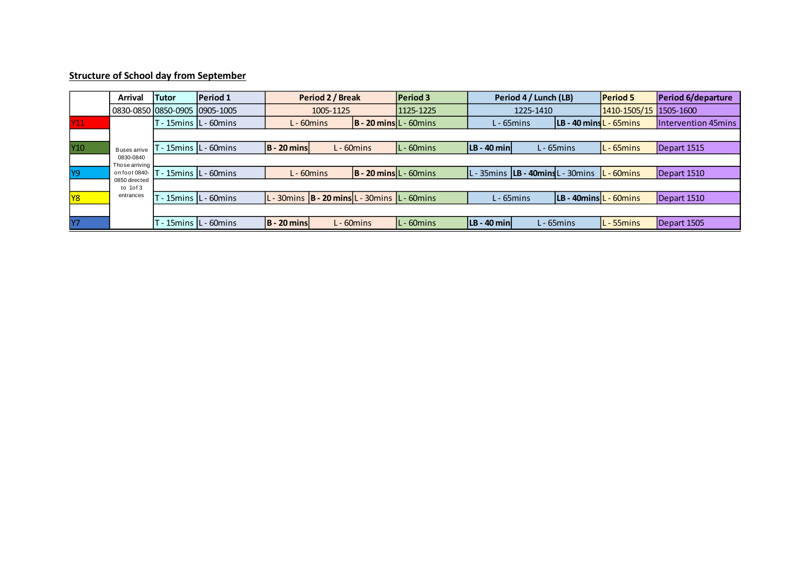## **Structure of School day from September**

|                         | <b>Arrival</b>              | Tutor                         | Period 1                          | Period 2 / Break                                        |  |                                     | <b>Period 3</b> | Period 4 / Lunch (LB)                    |               |                                            | <b>Period 5</b>        | Period 6/departure  |  |
|-------------------------|-----------------------------|-------------------------------|-----------------------------------|---------------------------------------------------------|--|-------------------------------------|-----------------|------------------------------------------|---------------|--------------------------------------------|------------------------|---------------------|--|
|                         |                             | 0830-0850 0850-0905 0905-1005 |                                   | 1005-1125                                               |  |                                     | 1125-1225       | 1225-1410                                |               |                                            | 1410-1505/15 1505-1600 |                     |  |
| $\overline{\text{Y11}}$ |                             |                               | T - 15mins  L - 60mins            | L - 60mins                                              |  | $ B - 20 \text{ mins} $ L - 60 mins |                 | $L - 65$ mins                            |               | $ LB - 40 \text{ mins}$ $-65 \text{ mins}$ |                        | Intervention 45mins |  |
|                         |                             |                               |                                   |                                                         |  |                                     |                 |                                          |               |                                            |                        |                     |  |
| Y <sub>10</sub>         | Buses arrive                |                               | - 15mins IL - 60mins              | $ B - 20 \text{ mins} $                                 |  | $L - 60$ mins                       | $L - 60$ mins   | $ LB - 40 \text{ min} $                  |               | L - 65mins                                 | $L - 65$ mins          | Depart 1515         |  |
|                         | 0830-0840<br>Those arriving |                               |                                   |                                                         |  |                                     |                 |                                          |               |                                            |                        |                     |  |
| <b>Y9</b>               | on foot 0840-               | T - 15mins IL - 60mins        |                                   | L - 60mins                                              |  | $ B - 20 \text{ mins} $ L - 60 mins |                 | L - 35mins <b>LB - 40mins</b> L - 30mins |               |                                            | $ L - 60$ mins         | Depart 1510         |  |
|                         | 0850 directed<br>to $10f3$  |                               |                                   |                                                         |  |                                     |                 |                                          |               |                                            |                        |                     |  |
| <b>Y8</b>               | entrances                   |                               | - 15mins IL - 60mins <sup>-</sup> | $L - 30$ mins $B - 20$ mins $L - 30$ mins $L - 60$ mins |  |                                     |                 |                                          | $L - 65$ mins | $ LB - 40$ mins $ L - 60$ mins             |                        | Depart 1510         |  |
|                         |                             |                               |                                   |                                                         |  |                                     |                 |                                          |               |                                            |                        |                     |  |
| <b>Y7</b>               |                             |                               | T - 15mins L - 60mins             | <b>B</b> - 20 mins                                      |  | L - 60mins                          | L-60mins        | $ LB - 40 \text{ min} $                  |               | L - 65mins                                 | - 55mins               | Depart 1505         |  |